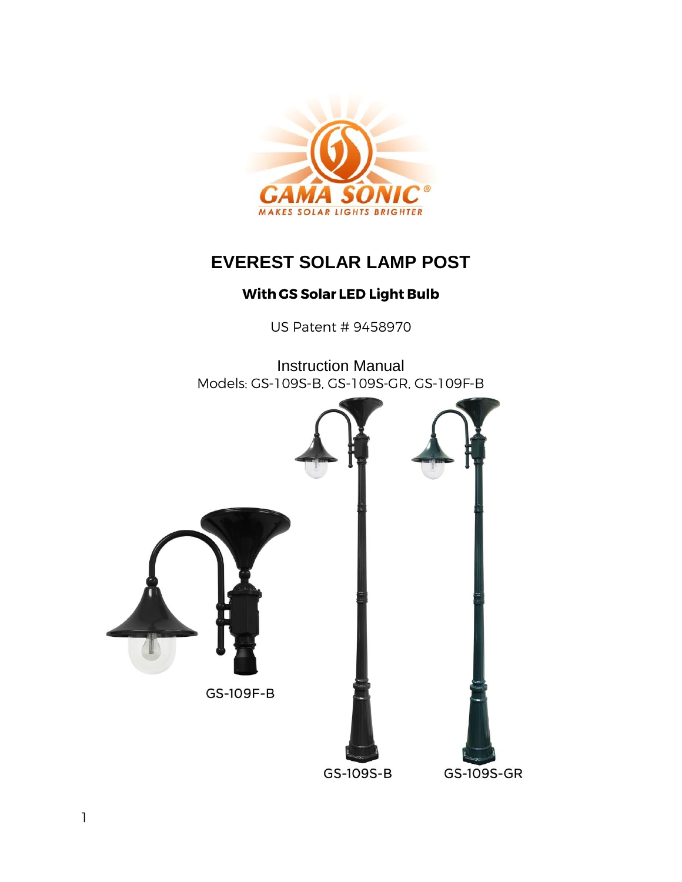

# **EVEREST SOLAR LAMP POST**

## With GS Solar LED Light Bulb

US Patent # 9458970

Instruction Manual<br>Models: GS-109S-B, GS-109S-GR, GS-109F-B

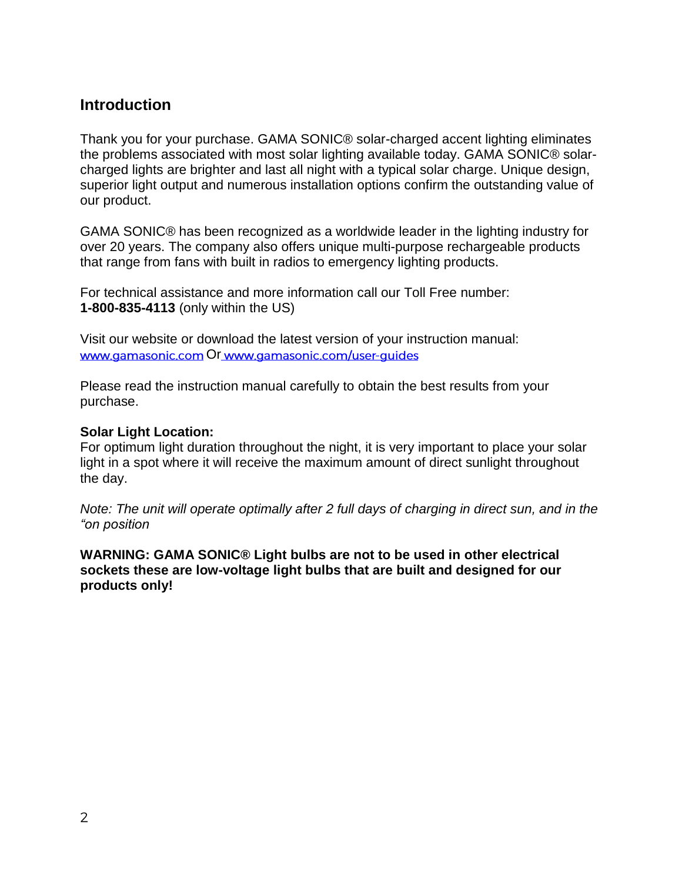### **Introduction**

Thank you for your purchase. GAMA SONIC® solar-charged accent lighting eliminates the problems associated with most solar lighting available today. GAMA SONIC® solarcharged lights are brighter and last all night with a typical solar charge. Unique design, superior light output and numerous installation options confirm the outstanding value of our product.

GAMA SONIC® has been recognized as a worldwide leader in the lighting industry for over 20 years. The company also offers unique multi-purpose rechargeable products that range from fans with built in radios to emergency lighting products.

For technical assistance and more information call our Toll Free number: **1-800-835-4113** (only within the US)

Visit our website or download the latest version of your instruction manual: www.gamasonic.com Or www.gamasonic.com/user-guides

Please read the instruction manual carefully to obtain the best results from your purchase.

#### **Solar Light Location:**

For optimum light duration throughout the night, it is very important to place your solar light in a spot where it will receive the maximum amount of direct sunlight throughout the day.

*Note: The unit will operate optimally after 2 full days of charging in direct sun, and in the "on position*

**WARNING: GAMA SONIC® Light bulbs are not to be used in other electrical sockets these are low-voltage light bulbs that are built and designed for our products only!**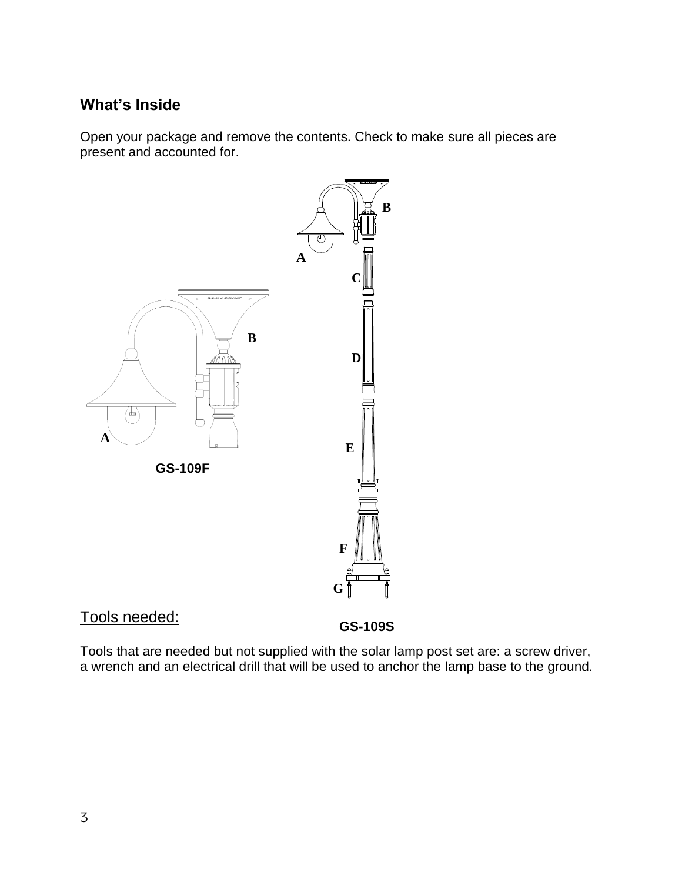## **What's Inside**

Open your package and remove the contents. Check to make sure all pieces are present and accounted for.



## Tools needed:

**A GS-109S**

Tools that are needed but not supplied with the solar lamp post set are: a screw driver, a wrench and an electrical drill that will be used to anchor the lamp base to the ground.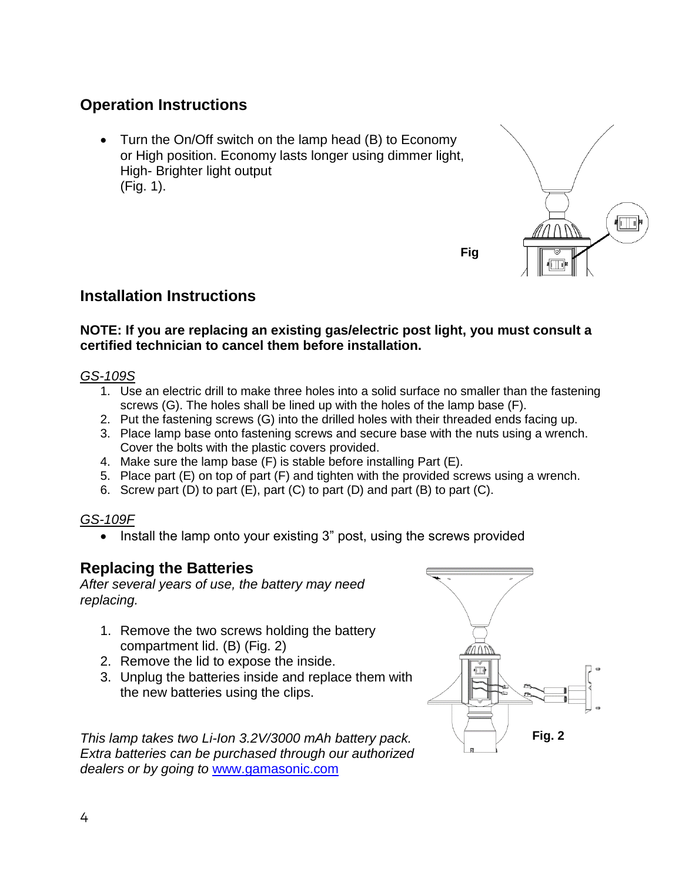## **Operation Instructions**

• Turn the On/Off switch on the lamp head (B) to Economy or High position. Economy lasts longer using dimmer light, High- Brighter light output (Fig. 1).



### **Installation Instructions**

#### **NOTE: If you are replacing an existing gas/electric post light, you must consult a certified technician to cancel them before installation.**

#### *GS-109S*

- 1. Use an electric drill to make three holes into a solid surface no smaller than the fastening screws (G). The holes shall be lined up with the holes of the lamp base (F).
- 2. Put the fastening screws (G) into the drilled holes with their threaded ends facing up.
- 3. Place lamp base onto fastening screws and secure base with the nuts using a wrench. Cover the bolts with the plastic covers provided.
- 4. Make sure the lamp base (F) is stable before installing Part (E).
- 5. Place part (E) on top of part (F) and tighten with the provided screws using a wrench.
- 6. Screw part (D) to part (E), part (C) to part (D) and part (B) to part (C).

#### *GS-109F*

Install the lamp onto your existing 3" post, using the screws provided

## **Replacing the Batteries**

*After several years of use, the battery may need replacing.*

- 1. Remove the two screws holding the battery compartment lid. (B) (Fig. 2)
- 2. Remove the lid to expose the inside.
- 3. Unplug the batteries inside and replace them with the new batteries using the clips.

*This lamp takes two Li-Ion 3.2V/3000 mAh battery pack. Extra batteries can be purchased through our authorized dealers or by going to* [www.gamasonic.com](http://www.gamasonic.com/)